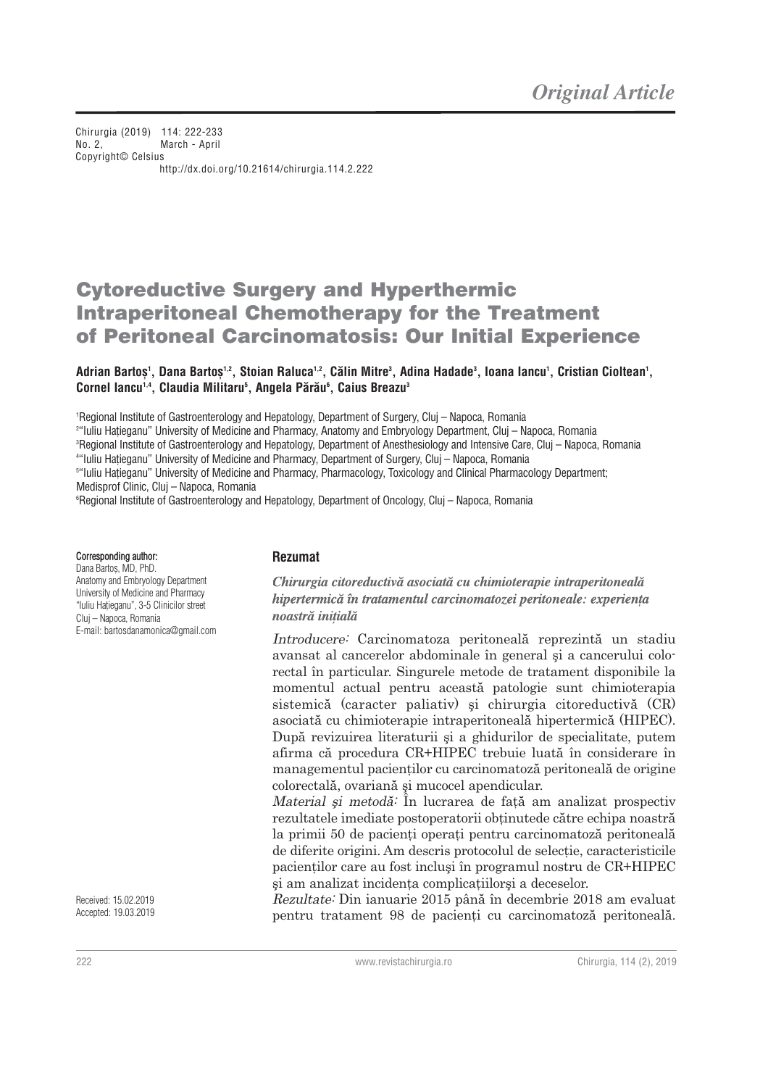Chirurgia (2019) 114: 222-233 No. 2, March - April Copyright© Celsius http://dx.doi.org/10.21614/chirurgia.114.2.222

# **Cytoreductive Surgery and Hyperthermic Intraperitoneal Chemotherapy for the Treatment of Peritoneal Carcinomatosis: Our Initial Experience**

#### Adrian Bartoș', Dana Bartoș<sup>1,2</sup>, Stoian Raluca<sup>1,2</sup>, Călin Mitre<sup>3</sup>, Adina Hadade<sup>3</sup>, Ioana Iancu', Cristian Cioltean', **Cornel Iancu1,4, Claudia Militaru5 , Angela Pãrãu6 , Caius Breazu3**

1 Regional Institute of Gastroenterology and Hepatology, Department of Surgery, Cluj – Napoca, Romania

2 "Iuliu Haåieganu" University of Medicine and Pharmacy, Anatomy and Embryology Department, Cluj – Napoca, Romania

3 Regional Institute of Gastroenterology and Hepatology, Department of Anesthesiology and Intensive Care, Cluj – Napoca, Romania

4 "Iuliu Haåieganu" University of Medicine and Pharmacy, Department of Surgery, Cluj – Napoca, Romania

5 "Iuliu Haåieganu" University of Medicine and Pharmacy, Pharmacology, Toxicology and Clinical Pharmacology Department; Medisprof Clinic, Cluj – Napoca, Romania

6 Regional Institute of Gastroenterology and Hepatology, Department of Oncology, Cluj – Napoca, Romania

#### Corresponding author:

Dana Bartos, MD, PhD. Anatomy and Embryology Department University of Medicine and Pharmacy "Iuliu Haåieganu", 3-5 Clinicilor street Cluj – Napoca, Romania E-mail: bartosdanamonica@gmail.com

Received: 15.02.2019 Accepted: 19.03.2019

#### **Rezumat**

Chirurgia citoreductivă asociată cu chimioterapie intraperitoneală hipertermică în tratamentul carcinomatozei peritoneale: experienta noastră initială

Introducere: Carcinomatoza peritoneală reprezintă un stadiu avansat al cancerelor abdominale în general şi a cancerului colorectal în particular. Singurele metode de tratament disponibile la momentul actual pentru această patologie sunt chimioterapia sistemică (caracter paliativ) şi chirurgia citoreductivă (CR) asociată cu chimioterapie intraperitoneală hipertermică (HIPEC). După revizuirea literaturii şi a ghidurilor de specialitate, putem afirma că procedura CR+HIPEC trebuie luată în considerare în managementul pacienţilor cu carcinomatoză peritoneală de origine colorectală, ovariană şi mucocel apendicular.

Material și metodă<sup>:</sup> În lucrarea de față am analizat prospectiv rezultatele imediate postoperatorii obţinutede către echipa noastră la primii 50 de pacienţi operaţi pentru carcinomatoză peritoneală de diferite origini. Am descris protocolul de selecţie, caracteristicile pacienţilor care au fost incluşi în programul nostru de CR+HIPEC şi am analizat incidenţa complicaţiilorşi a deceselor.

Rezultate: Din ianuarie 2015 până în decembrie 2018 am evaluat pentru tratament 98 de pacienti cu carcinomatoză peritoneală.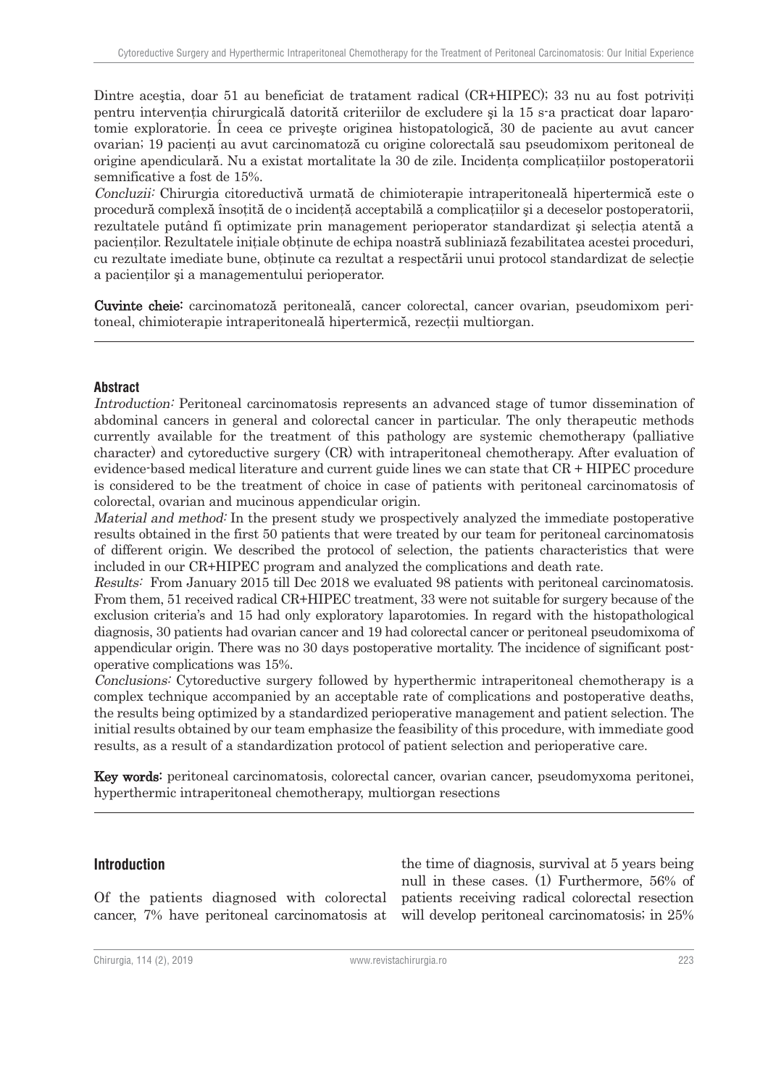Dintre acestia, doar 51 au beneficiat de tratament radical (CR+HIPEC); 33 nu au fost potriviti pentru intervenţia chirurgicală datorită criteriilor de excludere şi la 15 s-a practicat doar laparotomie exploratorie. În ceea ce priveşte originea histopatologică, 30 de paciente au avut cancer ovarian; 19 pacienţi au avut carcinomatoză cu origine colorectală sau pseudomixom peritoneal de origine apendiculară. Nu a existat mortalitate la 30 de zile. Incidenţa complicaţiilor postoperatorii semnificative a fost de 15%.

Concluzii: Chirurgia citoreductivă urmată de chimioterapie intraperitoneală hipertermică este o procedură complexă însotită de o incidență acceptabilă a complicațiilor și a deceselor postoperatorii, rezultatele putând fi optimizate prin management perioperator standardizat și selecția atentă a pacientilor. Rezultatele initiale obtinute de echipa noastră subliniază fezabilitatea acestei proceduri, cu rezultate imediate bune, obţinute ca rezultat a respectării unui protocol standardizat de selecţie a pacienţilor şi a managementului perioperator.

Cuvinte cheie: carcinomatoză peritoneală, cancer colorectal, cancer ovarian, pseudomixom peritoneal, chimioterapie intraperitoneală hipertermică, rezecții multiorgan.

#### **Abstract**

Introduction: Peritoneal carcinomatosis represents an advanced stage of tumor dissemination of abdominal cancers in general and colorectal cancer in particular. The only therapeutic methods currently available for the treatment of this pathology are systemic chemotherapy (palliative character) and cytoreductive surgery (CR) with intraperitoneal chemotherapy. After evaluation of evidence-based medical literature and current guide lines we can state that CR + HIPEC procedure is considered to be the treatment of choice in case of patients with peritoneal carcinomatosis of colorectal, ovarian and mucinous appendicular origin.

Material and method: In the present study we prospectively analyzed the immediate postoperative results obtained in the first 50 patients that were treated by our team for peritoneal carcinomatosis of different origin. We described the protocol of selection, the patients characteristics that were included in our CR+HIPEC program and analyzed the complications and death rate.

Results: From January 2015 till Dec 2018 we evaluated 98 patients with peritoneal carcinomatosis. From them, 51 received radical CR+HIPEC treatment, 33 were not suitable for surgery because of the exclusion criteria's and 15 had only exploratory laparotomies. In regard with the histopathological diagnosis, 30 patients had ovarian cancer and 19 had colorectal cancer or peritoneal pseudomixoma of appendicular origin. There was no 30 days postoperative mortality. The incidence of significant postoperative complications was 15%.

Conclusions: Cytoreductive surgery followed by hyperthermic intraperitoneal chemotherapy is a complex technique accompanied by an acceptable rate of complications and postoperative deaths, the results being optimized by a standardized perioperative management and patient selection. The initial results obtained by our team emphasize the feasibility of this procedure, with immediate good results, as a result of a standardization protocol of patient selection and perioperative care.

Key words: peritoneal carcinomatosis, colorectal cancer, ovarian cancer, pseudomyxoma peritonei, hyperthermic intraperitoneal chemotherapy, multiorgan resections

#### **Introduction**

Of the patients diagnosed with colorectal cancer, 7% have peritoneal carcinomatosis at

the time of diagnosis, survival at 5 years being null in these cases. (1) Furthermore, 56% of patients receiving radical colorectal resection will develop peritoneal carcinomatosis; in 25%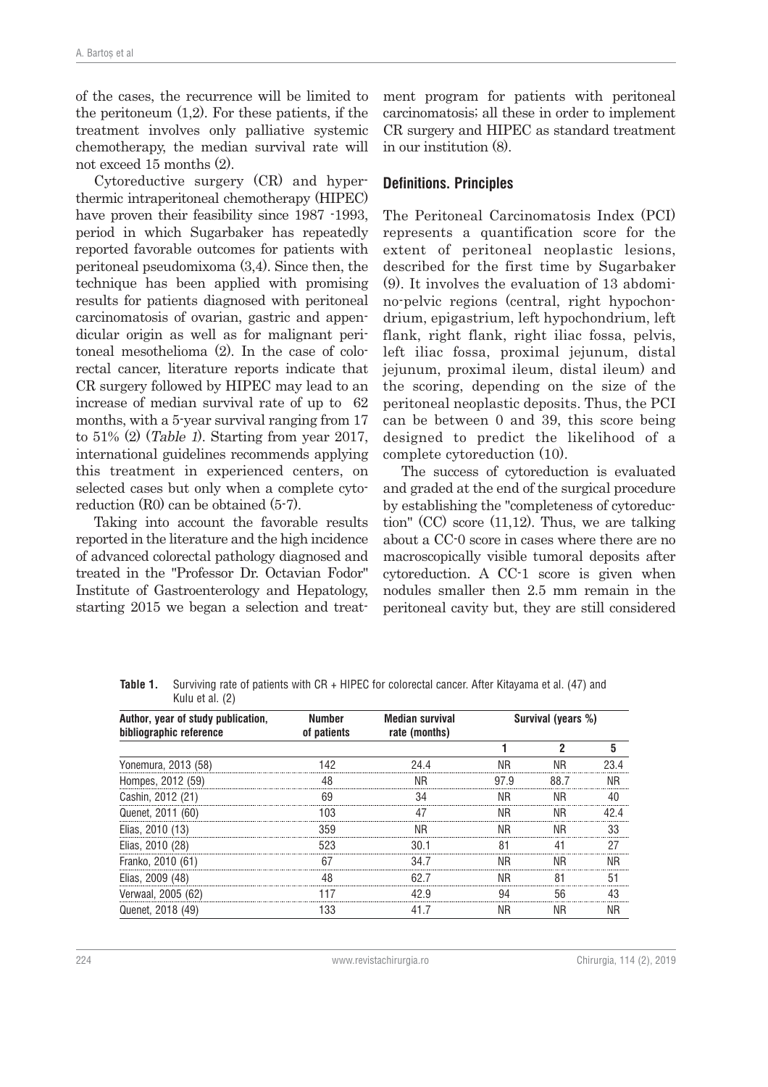of the cases, the recurrence will be limited to the peritoneum (1,2). For these patients, if the treatment involves only palliative systemic chemotherapy, the median survival rate will not exceed 15 months (2).

Cytoreductive surgery (CR) and hyperthermic intraperitoneal chemotherapy (HIPEC) have proven their feasibility since 1987 -1993, period in which Sugarbaker has repeatedly reported favorable outcomes for patients with peritoneal pseudomixoma (3,4). Since then, the technique has been applied with promising results for patients diagnosed with peritoneal carcinomatosis of ovarian, gastric and appendicular origin as well as for malignant peritoneal mesothelioma (2). In the case of colorectal cancer, literature reports indicate that CR surgery followed by HIPEC may lead to an increase of median survival rate of up to 62 months, with a 5-year survival ranging from 17 to 51% (2) (Table 1). Starting from year 2017, international guidelines recommends applying this treatment in experienced centers, on selected cases but only when a complete cytoreduction (R0) can be obtained (5-7).

Taking into account the favorable results reported in the literature and the high incidence of advanced colorectal pathology diagnosed and treated in the "Professor Dr. Octavian Fodor" Institute of Gastroenterology and Hepatology, starting 2015 we began a selection and treat-

ment program for patients with peritoneal carcinomatosis; all these in order to implement CR surgery and HIPEC as standard treatment in our institution (8).

#### **Definitions. Principles**

The Peritoneal Carcinomatosis Index (PCI) represents a quantification score for the extent of peritoneal neoplastic lesions, described for the first time by Sugarbaker (9). It involves the evaluation of 13 abdomino-pelvic regions (central, right hypochondrium, epigastrium, left hypochondrium, left flank, right flank, right iliac fossa, pelvis, left iliac fossa, proximal jejunum, distal jejunum, proximal ileum, distal ileum) and the scoring, depending on the size of the peritoneal neoplastic deposits. Thus, the PCI can be between 0 and 39, this score being designed to predict the likelihood of a complete cytoreduction (10).

The success of cytoreduction is evaluated and graded at the end of the surgical procedure by establishing the "completeness of cytoreduction" (CC) score (11,12). Thus, we are talking about a CC-0 score in cases where there are no macroscopically visible tumoral deposits after cytoreduction. A CC-1 score is given when nodules smaller then 2.5 mm remain in the peritoneal cavity but, they are still considered

| Kulu et al. (2)                                               |                              |                                         |                    |      |    |
|---------------------------------------------------------------|------------------------------|-----------------------------------------|--------------------|------|----|
| Author, year of study publication,<br>bibliographic reference | <b>Number</b><br>of patients | <b>Median survival</b><br>rate (months) | Survival (years %) |      |    |
|                                                               |                              |                                         |                    |      |    |
| Yonemura, 2013 (58)                                           |                              | 94 A                                    | ΝR                 |      |    |
| Hompes, 2012 (59)                                             |                              | ΝR                                      | 97.9               | 88.7 | ΝR |
| Cashin, 2012 (21)                                             | 69                           | 34                                      | ΝR                 | ΝR   |    |
| Quenet, 2011 (60)                                             | 103                          |                                         | ΝR                 | ΝR   |    |
| Elias, 2010 (13)                                              | 359                          |                                         | ΝR                 | ΝR   | 33 |
| Elias, 2010 (28)                                              | 523                          | 30 1                                    |                    |      | 27 |
| Franko, 2010 (61)                                             |                              | 34 7                                    | ΝR                 | ΝR   | ΝR |
| Elias, 2009 (48)                                              |                              |                                         |                    |      |    |
| Verwaal, 2005 (62)                                            |                              |                                         |                    |      |    |
| Quenet, 2018 (49)                                             | 133                          | 41 7                                    | ΝR                 | ΝR   | ΝR |

**Table 1.** Surviving rate of patients with CR + HIPEC for colorectal cancer. After Kitayama et al. (47) and Kulu et al. (2)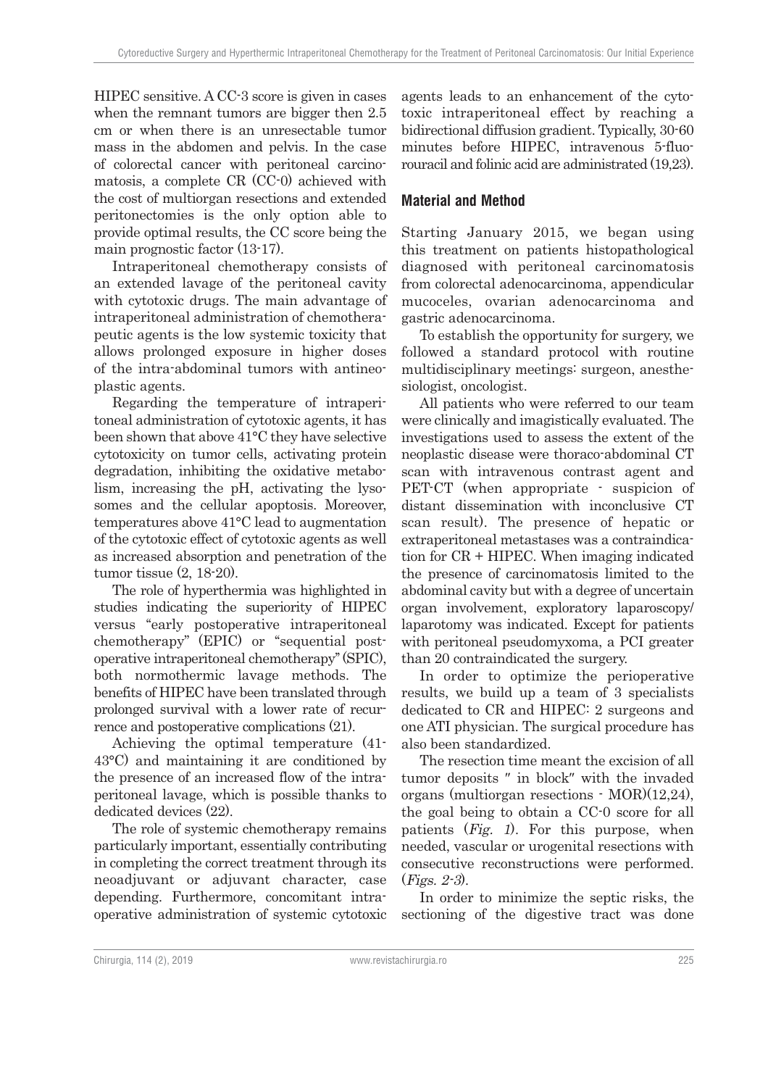HIPEC sensitive. A CC-3 score is given in cases when the remnant tumors are bigger then 2.5 cm or when there is an unresectable tumor mass in the abdomen and pelvis. In the case of colorectal cancer with peritoneal carcinomatosis, a complete CR (CC-0) achieved with the cost of multiorgan resections and extended peritonectomies is the only option able to provide optimal results, the CC score being the main prognostic factor (13-17).

Intraperitoneal chemotherapy consists of an extended lavage of the peritoneal cavity with cytotoxic drugs. The main advantage of intraperitoneal administration of chemotherapeutic agents is the low systemic toxicity that allows prolonged exposure in higher doses of the intra-abdominal tumors with antineoplastic agents.

Regarding the temperature of intraperitoneal administration of cytotoxic agents, it has been shown that above 41°C they have selective cytotoxicity on tumor cells, activating protein degradation, inhibiting the oxidative metabolism, increasing the pH, activating the lysosomes and the cellular apoptosis. Moreover, temperatures above 41°C lead to augmentation of the cytotoxic effect of cytotoxic agents as well as increased absorption and penetration of the tumor tissue (2, 18-20).

The role of hyperthermia was highlighted in studies indicating the superiority of HIPEC versus ''early postoperative intraperitoneal chemotherapy" (EPIC) or "sequential postoperative intraperitoneal chemotherapy'' (SPIC), both normothermic lavage methods. The benefits of HIPEC have been translated through prolonged survival with a lower rate of recurrence and postoperative complications (21).

Achieving the optimal temperature (41- 43°C) and maintaining it are conditioned by the presence of an increased flow of the intraperitoneal lavage, which is possible thanks to dedicated devices (22).

The role of systemic chemotherapy remains particularly important, essentially contributing in completing the correct treatment through its neoadjuvant or adjuvant character, case depending. Furthermore, concomitant intraoperative administration of systemic cytotoxic

agents leads to an enhancement of the cytotoxic intraperitoneal effect by reaching a bidirectional diffusion gradient. Typically, 30-60 minutes before HIPEC, intravenous 5-fluorouracil and folinic acid are administrated (19,23).

# **Material and Method**

Starting January 2015, we began using this treatment on patients histopathological diagnosed with peritoneal carcinomatosis from colorectal adenocarcinoma, appendicular mucoceles, ovarian adenocarcinoma and gastric adenocarcinoma.

To establish the opportunity for surgery, we followed a standard protocol with routine multidisciplinary meetings: surgeon, anesthesiologist, oncologist.

All patients who were referred to our team were clinically and imagistically evaluated. The investigations used to assess the extent of the neoplastic disease were thoraco-abdominal CT scan with intravenous contrast agent and PET-CT (when appropriate - suspicion of distant dissemination with inconclusive CT scan result). The presence of hepatic or extraperitoneal metastases was a contraindication for CR + HIPEC. When imaging indicated the presence of carcinomatosis limited to the abdominal cavity but with a degree of uncertain organ involvement, exploratory laparoscopy/ laparotomy was indicated. Except for patients with peritoneal pseudomyxoma, a PCI greater than 20 contraindicated the surgery.

In order to optimize the perioperative results, we build up a team of 3 specialists dedicated to CR and HIPEC: 2 surgeons and one ATI physician. The surgical procedure has also been standardized.

The resection time meant the excision of all tumor deposits ″ in block″ with the invaded organs (multiorgan resections - MOR)(12,24), the goal being to obtain a CC-0 score for all patients (Fig. 1). For this purpose, when needed, vascular or urogenital resections with consecutive reconstructions were performed. (Figs. 2-3).

In order to minimize the septic risks, the sectioning of the digestive tract was done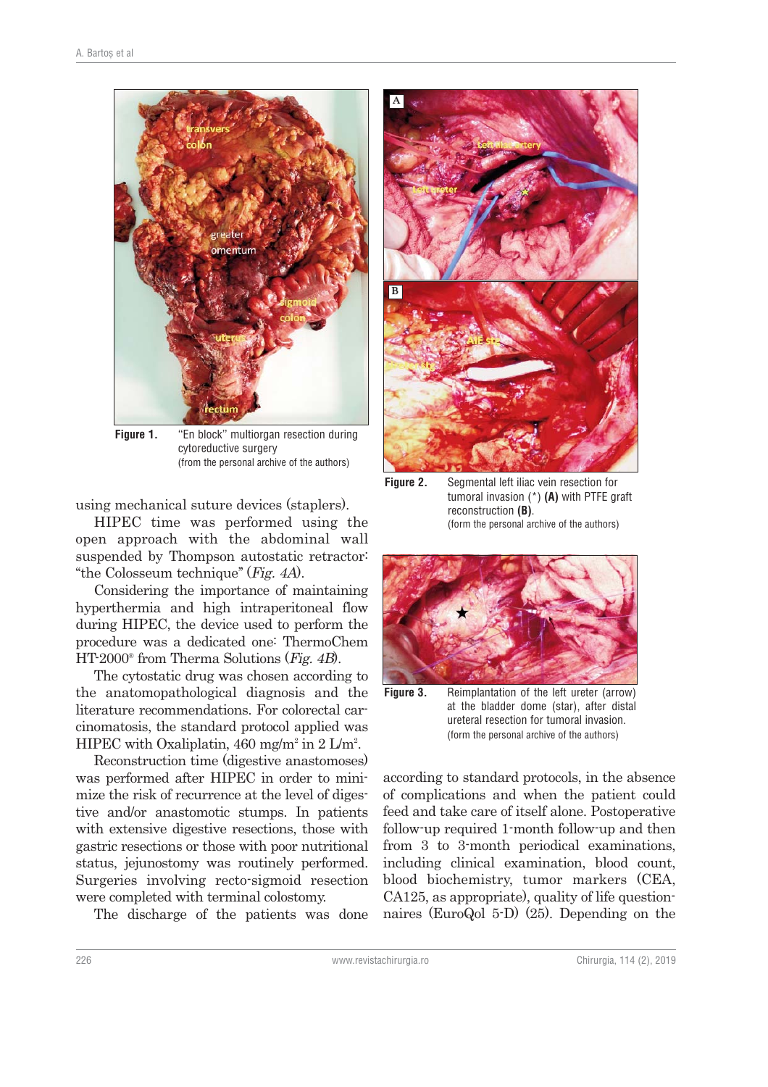

**Figure 1.** "En block" multiorgan resection during cytoreductive surgery (from the personal archive of the authors)

using mechanical suture devices (staplers).

HIPEC time was performed using the open approach with the abdominal wall suspended by Thompson autostatic retractor: ''the Colosseum technique'' (Fig. 4A).

Considering the importance of maintaining hyperthermia and high intraperitoneal flow during HIPEC, the device used to perform the procedure was a dedicated one: ThermoChem  $HT-2000^\circ$  from Therma Solutions (*Fig. 4B*).

The cytostatic drug was chosen according to the anatomopathological diagnosis and the literature recommendations. For colorectal carcinomatosis, the standard protocol applied was HIPEC with Oxaliplatin,  $460 \text{ mg/m}^2$  in  $2 \text{ L/m}^2$ .

Reconstruction time (digestive anastomoses) was performed after HIPEC in order to minimize the risk of recurrence at the level of digestive and/or anastomotic stumps. In patients with extensive digestive resections, those with gastric resections or those with poor nutritional status, jejunostomy was routinely performed. Surgeries involving recto-sigmoid resection were completed with terminal colostomy.

The discharge of the patients was done



**Figure 2.** Segmental left iliac vein resection for tumoral invasion (\*) **(A)** with PTFE graft reconstruction **(B)**. (form the personal archive of the authors)



**Figure 3.** Reimplantation of the left ureter (arrow) at the bladder dome (star), after distal ureteral resection for tumoral invasion. (form the personal archive of the authors)

according to standard protocols, in the absence of complications and when the patient could feed and take care of itself alone. Postoperative follow-up required 1-month follow-up and then from 3 to 3-month periodical examinations, including clinical examination, blood count, blood biochemistry, tumor markers (CEA, CA125, as appropriate), quality of life questionnaires (EuroQol 5-D) (25). Depending on the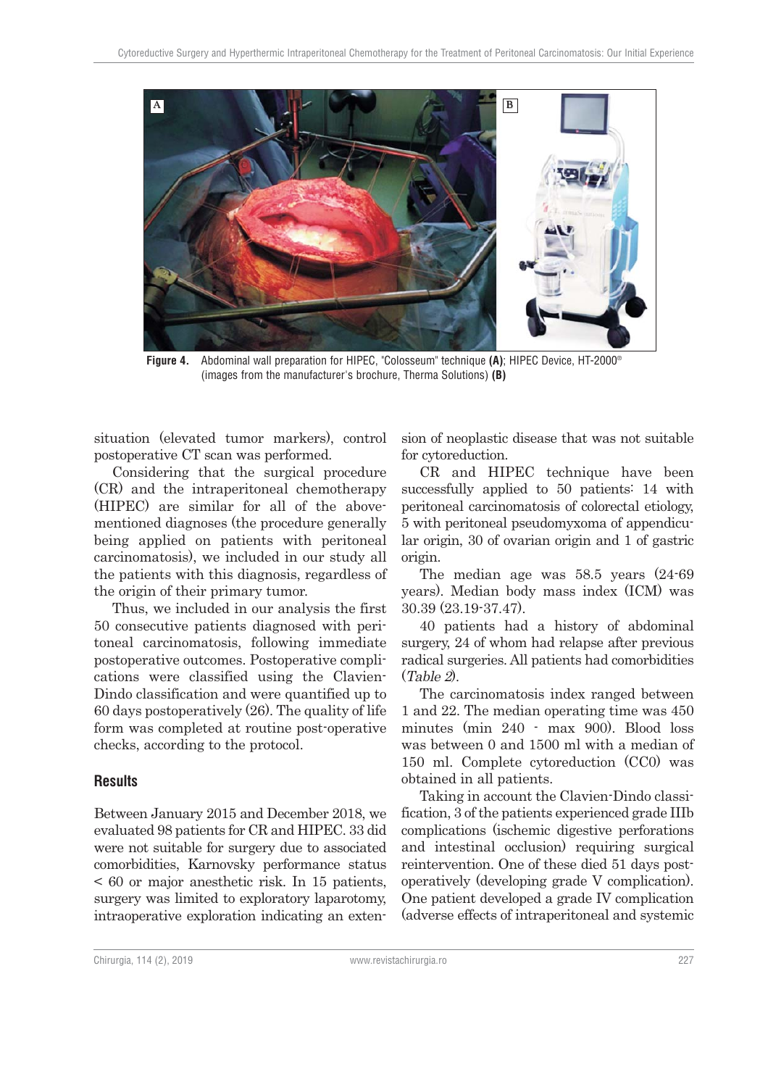

**Figure 4.** Abdominal wall preparation for HIPEC, "Colosseum" technique **(A)**; HIPEC Device, HT-2000® (images from the manufacturer's brochure, Therma Solutions) **(B)**

situation (elevated tumor markers), control postoperative CT scan was performed.

Considering that the surgical procedure (CR) and the intraperitoneal chemotherapy (HIPEC) are similar for all of the abovementioned diagnoses (the procedure generally being applied on patients with peritoneal carcinomatosis), we included in our study all the patients with this diagnosis, regardless of the origin of their primary tumor.

Thus, we included in our analysis the first 50 consecutive patients diagnosed with peritoneal carcinomatosis, following immediate postoperative outcomes. Postoperative complications were classified using the Clavien-Dindo classification and were quantified up to 60 days postoperatively (26). The quality of life form was completed at routine post-operative checks, according to the protocol.

#### **Results**

Between January 2015 and December 2018, we evaluated 98 patients for CR and HIPEC. 33 did were not suitable for surgery due to associated comorbidities, Karnovsky performance status < 60 or major anesthetic risk. In 15 patients, surgery was limited to exploratory laparotomy, intraoperative exploration indicating an extension of neoplastic disease that was not suitable for cytoreduction.

CR and HIPEC technique have been successfully applied to 50 patients: 14 with peritoneal carcinomatosis of colorectal etiology, 5 with peritoneal pseudomyxoma of appendicular origin, 30 of ovarian origin and 1 of gastric origin.

The median age was 58.5 years (24-69 years). Median body mass index (ICM) was 30.39 (23.19-37.47).

40 patients had a history of abdominal surgery, 24 of whom had relapse after previous radical surgeries. All patients had comorbidities (Table 2).

The carcinomatosis index ranged between 1 and 22. The median operating time was 450 minutes (min 240 - max 900). Blood loss was between 0 and 1500 ml with a median of 150 ml. Complete cytoreduction (CC0) was obtained in all patients.

Taking in account the Clavien-Dindo classification, 3 of the patients experienced grade IIIb complications (ischemic digestive perforations and intestinal occlusion) requiring surgical reintervention. One of these died 51 days postoperatively (developing grade V complication). One patient developed a grade IV complication (adverse effects of intraperitoneal and systemic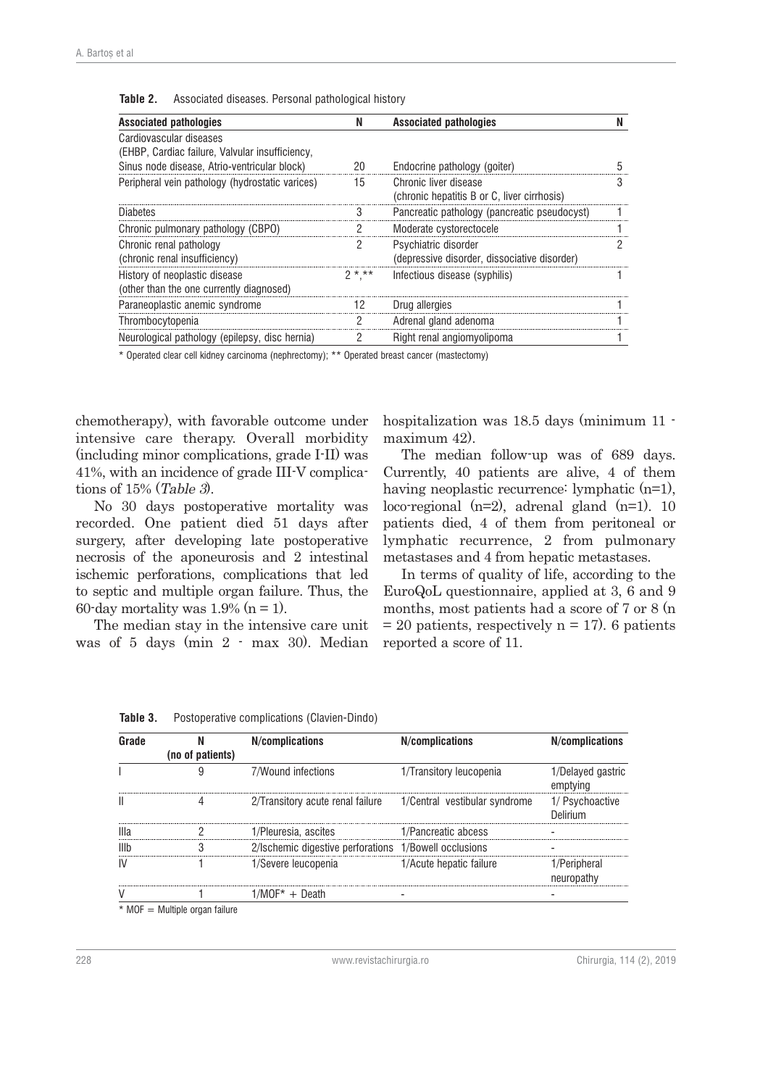| <b>Associated pathologies</b>                                              | N         | <b>Associated pathologies</b>                                        |  |
|----------------------------------------------------------------------------|-----------|----------------------------------------------------------------------|--|
| Cardiovascular diseases<br>(EHBP, Cardiac failure, Valvular insufficiency, |           |                                                                      |  |
| Sinus node disease, Atrio-ventricular block)                               | 20        | Endocrine pathology (goiter)                                         |  |
| Peripheral vein pathology (hydrostatic varices)                            | 15        | Chronic liver disease<br>(chronic hepatitis B or C, liver cirrhosis) |  |
| <b>Diabetes</b>                                                            |           | Pancreatic pathology (pancreatic pseudocyst)                         |  |
| Chronic pulmonary pathology (CBPO)                                         |           | Moderate cystorectocele                                              |  |
| Chronic renal pathology<br>(chronic renal insufficiency)                   |           | Psychiatric disorder<br>(depressive disorder, dissociative disorder) |  |
| History of neoplastic disease<br>(other than the one currently diagnosed)  | $2 * * *$ | Infectious disease (syphilis)                                        |  |
| Paraneoplastic anemic syndrome                                             | 12        | Drug allergies                                                       |  |
| Thrombocytopenia                                                           |           | Adrenal gland adenoma                                                |  |
| Neurological pathology (epilepsy, disc hernia)                             |           | Right renal angiomyolipoma                                           |  |

**Table 2.** Associated diseases. Personal pathological history

\* Operated clear cell kidney carcinoma (nephrectomy); \*\* Operated breast cancer (mastectomy)

chemotherapy), with favorable outcome under intensive care therapy. Overall morbidity (including minor complications, grade I-II) was 41%, with an incidence of grade III-V complications of  $15\%$  (Table 3).

No 30 days postoperative mortality was recorded. One patient died 51 days after surgery, after developing late postoperative necrosis of the aponeurosis and 2 intestinal ischemic perforations, complications that led to septic and multiple organ failure. Thus, the 60-day mortality was  $1.9\%$  (n = 1).

The median stay in the intensive care unit was of 5 days (min 2 - max 30). Median hospitalization was 18.5 days (minimum 11 maximum 42).

The median follow-up was of 689 days. Currently, 40 patients are alive, 4 of them having neoplastic recurrence: lymphatic  $(n=1)$ , loco-regional (n=2), adrenal gland (n=1). 10 patients died, 4 of them from peritoneal or lymphatic recurrence, 2 from pulmonary metastases and 4 from hepatic metastases.

In terms of quality of life, according to the EuroQoL questionnaire, applied at 3, 6 and 9 months, most patients had a score of 7 or 8 (n  $= 20$  patients, respectively  $n = 17$ ). 6 patients reported a score of 11.

|    | (no of patients)               | N/complications                                                | N/complications         | N/complications             |
|----|--------------------------------|----------------------------------------------------------------|-------------------------|-----------------------------|
|    |                                | 7/Wound infections                                             | 1/Transitory leucopenia | 1/Delayed gastric           |
|    |                                | 2/Transitory acute renal failure 1/Central vestibular syndrome |                         | 1/ Psychoactive<br>Nelirium |
|    |                                | 1/Pleuresia. ascites                                           | 1/Pancreatic abcess     |                             |
|    |                                | 2/Ischemic digestive perforations 1/Bowell occlusions          |                         |                             |
| IV |                                | 1/Severe leucopenia                                            | 1/Acute hepatic failure | /Peripheral<br>neuropathy   |
|    |                                | $1/MOF^* + Death$                                              |                         |                             |
|    | * MOF = Multiple organ failure |                                                                |                         |                             |

**Table 3.** Postoperative complications (Clavien-Dindo)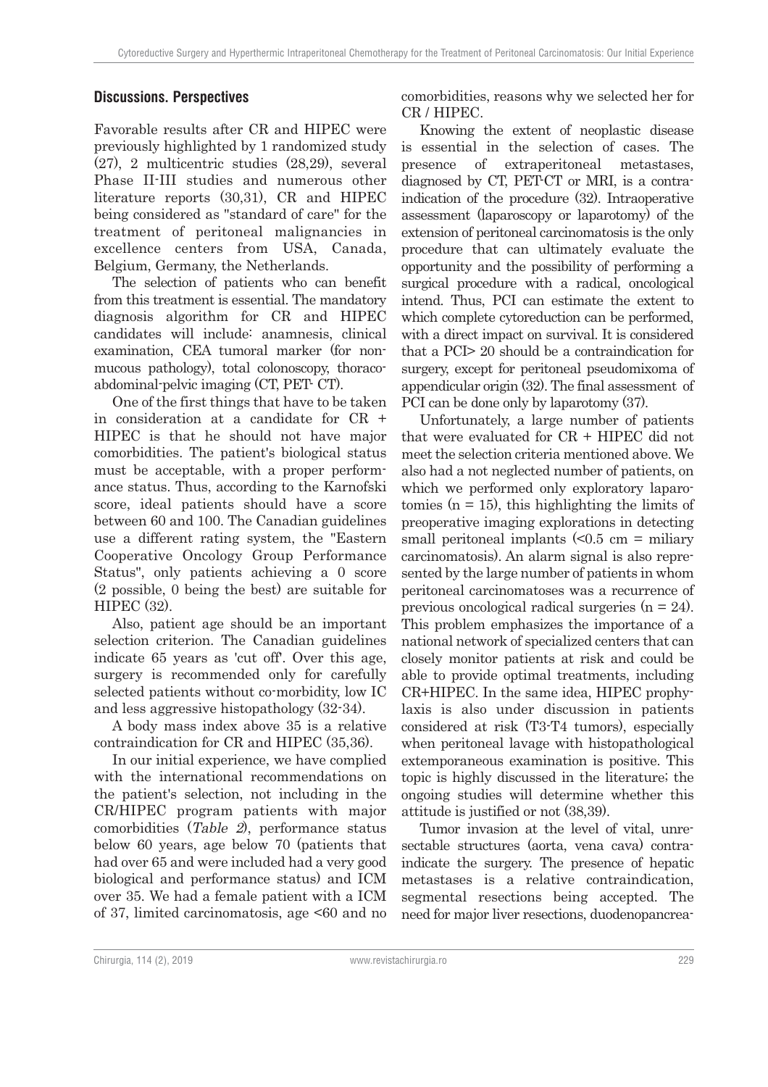## **Discussions. Perspectives**

Favorable results after CR and HIPEC were previously highlighted by 1 randomized study (27), 2 multicentric studies (28,29), several Phase II-III studies and numerous other literature reports (30,31), CR and HIPEC being considered as "standard of care" for the treatment of peritoneal malignancies in excellence centers from USA, Canada, Belgium, Germany, the Netherlands.

The selection of patients who can benefit from this treatment is essential. The mandatory diagnosis algorithm for CR and HIPEC candidates will include: anamnesis, clinical examination, CEA tumoral marker (for nonmucous pathology), total colonoscopy, thoracoabdominal-pelvic imaging (CT, PET- CT).

One of the first things that have to be taken in consideration at a candidate for CR + HIPEC is that he should not have major comorbidities. The patient's biological status must be acceptable, with a proper performance status. Thus, according to the Karnofski score, ideal patients should have a score between 60 and 100. The Canadian guidelines use a different rating system, the "Eastern Cooperative Oncology Group Performance Status", only patients achieving a 0 score (2 possible, 0 being the best) are suitable for HIPEC (32).

Also, patient age should be an important selection criterion. The Canadian guidelines indicate 65 years as 'cut off'. Over this age, surgery is recommended only for carefully selected patients without co-morbidity, low IC and less aggressive histopathology (32-34).

A body mass index above 35 is a relative contraindication for CR and HIPEC (35,36).

In our initial experience, we have complied with the international recommendations on the patient's selection, not including in the CR/HIPEC program patients with major comorbidities (Table 2), performance status below 60 years, age below 70 (patients that had over 65 and were included had a very good biological and performance status) and ICM over 35. We had a female patient with a ICM of 37, limited carcinomatosis, age <60 and no

comorbidities, reasons why we selected her for CR / HIPEC.

Knowing the extent of neoplastic disease is essential in the selection of cases. The presence of extraperitoneal metastases, diagnosed by CT, PET-CT or MRI, is a contraindication of the procedure (32). Intraoperative assessment (laparoscopy or laparotomy) of the extension of peritoneal carcinomatosis is the only procedure that can ultimately evaluate the opportunity and the possibility of performing a surgical procedure with a radical, oncological intend. Thus, PCI can estimate the extent to which complete cytoreduction can be performed, with a direct impact on survival. It is considered that a PCI> 20 should be a contraindication for surgery, except for peritoneal pseudomixoma of appendicular origin (32). The final assessment of PCI can be done only by laparotomy (37).

Unfortunately, a large number of patients that were evaluated for CR + HIPEC did not meet the selection criteria mentioned above. We also had a not neglected number of patients, on which we performed only exploratory laparotomies  $(n = 15)$ , this highlighting the limits of preoperative imaging explorations in detecting small peritoneal implants  $\leq 0.5$  cm = miliary carcinomatosis). An alarm signal is also represented by the large number of patients in whom peritoneal carcinomatoses was a recurrence of previous oncological radical surgeries (n = 24). This problem emphasizes the importance of a national network of specialized centers that can closely monitor patients at risk and could be able to provide optimal treatments, including CR+HIPEC. In the same idea, HIPEC prophylaxis is also under discussion in patients considered at risk (T3-T4 tumors), especially when peritoneal lavage with histopathological extemporaneous examination is positive. This topic is highly discussed in the literature; the ongoing studies will determine whether this attitude is justified or not (38,39).

Tumor invasion at the level of vital, unresectable structures (aorta, vena cava) contraindicate the surgery. The presence of hepatic metastases is a relative contraindication, segmental resections being accepted. The need for major liver resections, duodenopancrea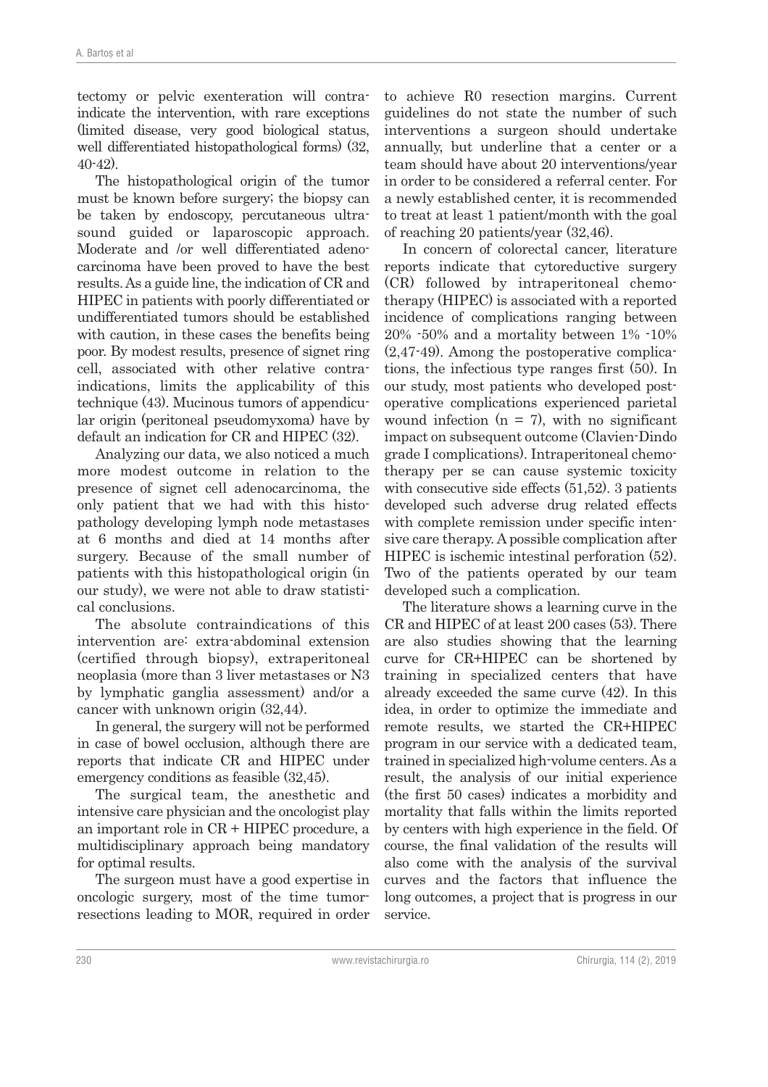tectomy or pelvic exenteration will contraindicate the intervention, with rare exceptions (limited disease, very good biological status, well differentiated histopathological forms) (32, 40-42).

The histopathological origin of the tumor must be known before surgery; the biopsy can be taken by endoscopy, percutaneous ultrasound guided or laparoscopic approach. Moderate and /or well differentiated adenocarcinoma have been proved to have the best results. As a guide line, the indication of CR and HIPEC in patients with poorly differentiated or undifferentiated tumors should be established with caution, in these cases the benefits being poor. By modest results, presence of signet ring cell, associated with other relative contraindications, limits the applicability of this technique (43). Mucinous tumors of appendicular origin (peritoneal pseudomyxoma) have by default an indication for CR and HIPEC (32).

Analyzing our data, we also noticed a much more modest outcome in relation to the presence of signet cell adenocarcinoma, the only patient that we had with this histopathology developing lymph node metastases at 6 months and died at 14 months after surgery. Because of the small number of patients with this histopathological origin (in our study), we were not able to draw statistical conclusions.

The absolute contraindications of this intervention are: extra-abdominal extension (certified through biopsy), extraperitoneal neoplasia (more than 3 liver metastases or N3 by lymphatic ganglia assessment) and/or a cancer with unknown origin (32,44).

In general, the surgery will not be performed in case of bowel occlusion, although there are reports that indicate CR and HIPEC under emergency conditions as feasible (32,45).

The surgical team, the anesthetic and intensive care physician and the oncologist play an important role in CR + HIPEC procedure, a multidisciplinary approach being mandatory for optimal results.

The surgeon must have a good expertise in oncologic surgery, most of the time tumorresections leading to MOR, required in order to achieve R0 resection margins. Current guidelines do not state the number of such interventions a surgeon should undertake annually, but underline that a center or a team should have about 20 interventions/year in order to be considered a referral center. For a newly established center, it is recommended to treat at least 1 patient/month with the goal of reaching 20 patients/year (32,46).

In concern of colorectal cancer, literature reports indicate that cytoreductive surgery (CR) followed by intraperitoneal chemotherapy (HIPEC) is associated with a reported incidence of complications ranging between 20% -50% and a mortality between 1% -10% (2,47-49). Among the postoperative complications, the infectious type ranges first (50). In our study, most patients who developed postoperative complications experienced parietal wound infection  $(n = 7)$ , with no significant impact on subsequent outcome (Clavien-Dindo grade I complications). Intraperitoneal chemotherapy per se can cause systemic toxicity with consecutive side effects  $(51,52)$ . 3 patients developed such adverse drug related effects with complete remission under specific intensive care therapy. A possible complication after HIPEC is ischemic intestinal perforation (52). Two of the patients operated by our team developed such a complication.

The literature shows a learning curve in the CR and HIPEC of at least 200 cases (53). There are also studies showing that the learning curve for CR+HIPEC can be shortened by training in specialized centers that have already exceeded the same curve (42). In this idea, in order to optimize the immediate and remote results, we started the CR+HIPEC program in our service with a dedicated team, trained in specialized high-volume centers. As a result, the analysis of our initial experience (the first 50 cases) indicates a morbidity and mortality that falls within the limits reported by centers with high experience in the field. Of course, the final validation of the results will also come with the analysis of the survival curves and the factors that influence the long outcomes, a project that is progress in our service.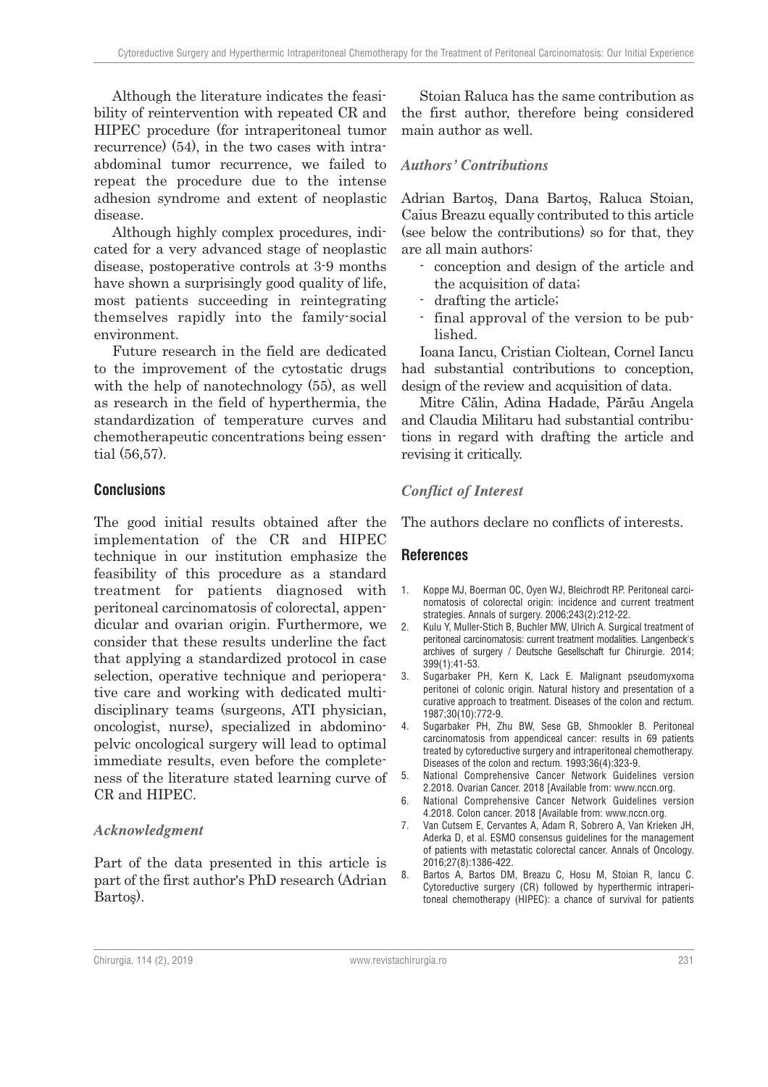Although the literature indicates the feasibility of reintervention with repeated CR and HIPEC procedure (for intraperitoneal tumor recurrence) (54), in the two cases with intraabdominal tumor recurrence, we failed to repeat the procedure due to the intense adhesion syndrome and extent of neoplastic disease.

Although highly complex procedures, indicated for a very advanced stage of neoplastic disease, postoperative controls at 3-9 months have shown a surprisingly good quality of life, most patients succeeding in reintegrating themselves rapidly into the family-social environment.

Future research in the field are dedicated to the improvement of the cytostatic drugs with the help of nanotechnology (55), as well as research in the field of hyperthermia, the standardization of temperature curves and chemotherapeutic concentrations being essential (56,57).

### **Conclusions**

The good initial results obtained after the implementation of the CR and HIPEC technique in our institution emphasize the feasibility of this procedure as a standard treatment for patients diagnosed with peritoneal carcinomatosis of colorectal, appendicular and ovarian origin. Furthermore, we consider that these results underline the fact that applying a standardized protocol in case selection, operative technique and perioperative care and working with dedicated multidisciplinary teams (surgeons, ATI physician, oncologist, nurse), specialized in abdominopelvic oncological surgery will lead to optimal immediate results, even before the completeness of the literature stated learning curve of CR and HIPEC.

#### **Acknowledgment**

Part of the data presented in this article is part of the first author's PhD research (Adrian Bartoş).

Stoian Raluca has the same contribution as the first author, therefore being considered main author as well.

### **Authors' Contributions**

Adrian Bartoş, Dana Bartoş, Raluca Stoian, Caius Breazu equally contributed to this article (see below the contributions) so for that, they are all main authors:

- conception and design of the article and the acquisition of data;
- drafting the article;
- final approval of the version to be published.

Ioana Iancu, Cristian Cioltean, Cornel Iancu had substantial contributions to conception, design of the review and acquisition of data.

Mitre Călin, Adina Hadade, Părău Angela and Claudia Militaru had substantial contributions in regard with drafting the article and revising it critically.

### **Conflict of Interest**

The authors declare no conflicts of interests.

#### **References**

- 1. Koppe MJ, Boerman OC, Oyen WJ, Bleichrodt RP. Peritoneal carcinomatosis of colorectal origin: incidence and current treatment strategies. Annals of surgery. 2006;243(2):212-22.
- 2. Kulu Y, Muller-Stich B, Buchler MW, Ulrich A. Surgical treatment of peritoneal carcinomatosis: current treatment modalities. Langenbeck's archives of surgery / Deutsche Gesellschaft fur Chirurgie. 2014; 399(1):41-53.
- 3. Sugarbaker PH, Kern K, Lack E. Malignant pseudomyxoma peritonei of colonic origin. Natural history and presentation of a curative approach to treatment. Diseases of the colon and rectum. 1987;30(10):772-9.
- 4. Sugarbaker PH, Zhu BW, Sese GB, Shmookler B. Peritoneal carcinomatosis from appendiceal cancer: results in 69 patients treated by cytoreductive surgery and intraperitoneal chemotherapy. Diseases of the colon and rectum. 1993;36(4):323-9.
- 5. National Comprehensive Cancer Network Guidelines version 2.2018. Ovarian Cancer. 2018 [Available from: www.nccn.org.
- 6. National Comprehensive Cancer Network Guidelines version 4.2018. Colon cancer. 2018 [Available from: www.nccn.org.
- 7. Van Cutsem E, Cervantes A, Adam R, Sobrero A, Van Krieken JH, Aderka D, et al. ESMO consensus guidelines for the management of patients with metastatic colorectal cancer. Annals of Oncology. 2016;27(8):1386-422.
- 8. Bartos A, Bartos DM, Breazu C, Hosu M, Stoian R, Iancu C. Cytoreductive surgery (CR) followed by hyperthermic intraperitoneal chemotherapy (HIPEC): a chance of survival for patients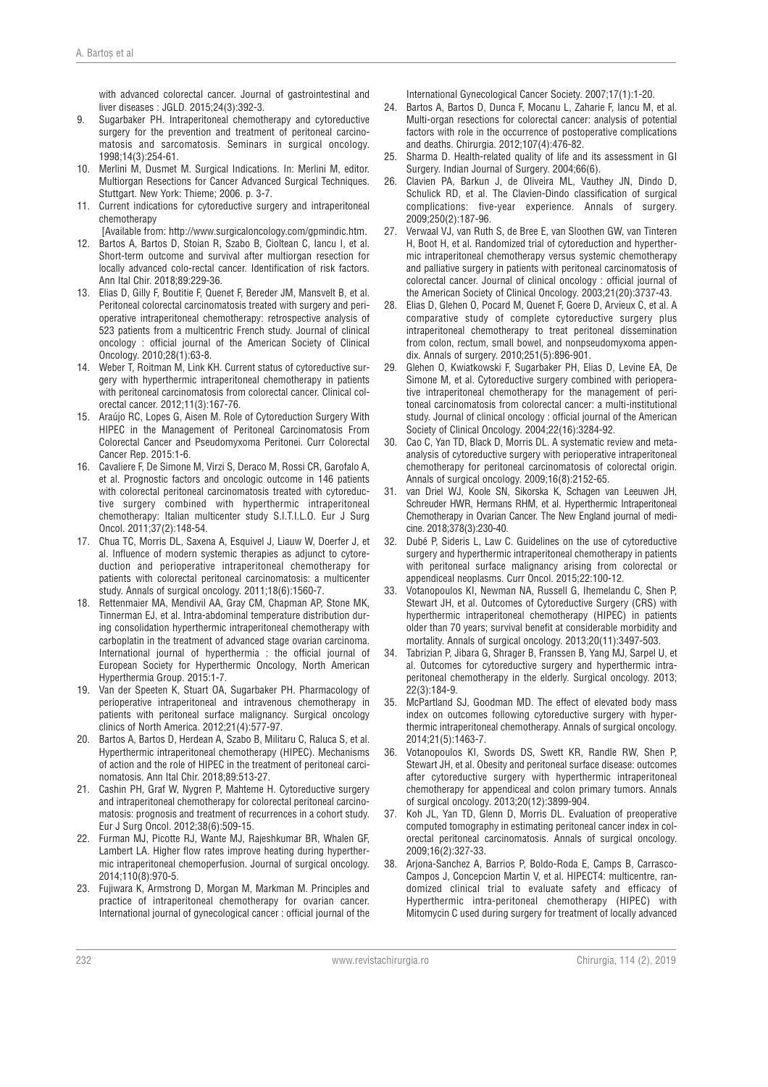with advanced colorectal cancer. Journal of gastrointestinal and liver diseases : JGLD. 2015;24(3):392-3.

- 9. Sugarbaker PH. Intraperitoneal chemotherapy and cytoreductive surgery for the prevention and treatment of peritoneal carcinomatosis and sarcomatosis. Seminars in surgical oncology. 1998;14(3):254-61.
- 10. Merlini M, Dusmet M. Surgical Indications. In: Merlini M, editor. Multiorgan Resections for Cancer Advanced Surgical Techniques. Stuttgart. New York: Thieme; 2006. p. 3-7.
- 11. Current indications for cytoreductive surgery and intraperitoneal chemotherapy

[Available from: http://www.surgicaloncology.com/gpmindic.htm.

- Bartos A, Bartos D, Stoian R, Szabo B, Cioltean C, Iancu I, et al. Short-term outcome and survival after multiorgan resection for locally advanced colo-rectal cancer. Identification of risk factors. Ann Ital Chir. 2018;89:229-36.
- 13. Elias D, Gilly F, Boutitie F, Quenet F, Bereder JM, Mansvelt B, et al. Peritoneal colorectal carcinomatosis treated with surgery and perioperative intraperitoneal chemotherapy: retrospective analysis of 523 patients from a multicentric French study. Journal of clinical oncology : official journal of the American Society of Clinical Oncology. 2010;28(1):63-8.
- 14. Weber T, Roitman M, Link KH. Current status of cytoreductive surgery with hyperthermic intraperitoneal chemotherapy in patients with peritoneal carcinomatosis from colorectal cancer. Clinical colorectal cancer. 2012;11(3):167-76.
- 15. Araújo RC, Lopes G, Aisen M. Role of Cytoreduction Surgery With HIPEC in the Management of Peritoneal Carcinomatosis From Colorectal Cancer and Pseudomyxoma Peritonei. Curr Colorectal Cancer Rep. 2015:1-6.
- 16. Cavaliere F, De Simone M, Virzi S, Deraco M, Rossi CR, Garofalo A, et al. Prognostic factors and oncologic outcome in 146 patients with colorectal peritoneal carcinomatosis treated with cytoreductive surgery combined with hyperthermic intraperitoneal chemotherapy: Italian multicenter study S.I.T.I.L.O. Eur J Surg Oncol. 2011;37(2):148-54.
- 17. Chua TC, Morris DL, Saxena A, Esquivel J, Liauw W, Doerfer J, et al. Influence of modern systemic therapies as adjunct to cytoreduction and perioperative intraperitoneal chemotherapy for patients with colorectal peritoneal carcinomatosis: a multicenter study. Annals of surgical oncology. 2011;18(6):1560-7.
- 18. Rettenmaier MA, Mendivil AA, Gray CM, Chapman AP, Stone MK, Tinnerman EJ, et al. Intra-abdominal temperature distribution during consolidation hyperthermic intraperitoneal chemotherapy with carboplatin in the treatment of advanced stage ovarian carcinoma. International journal of hyperthermia : the official journal of European Society for Hyperthermic Oncology, North American Hyperthermia Group. 2015:1-7.
- 19. Van der Speeten K, Stuart OA, Sugarbaker PH. Pharmacology of perioperative intraperitoneal and intravenous chemotherapy in patients with peritoneal surface malignancy. Surgical oncology clinics of North America. 2012;21(4):577-97.
- 20. Bartos A, Bartos D, Herdean A, Szabo B, Militaru C, Raluca S, et al. Hyperthermic intraperitoneal chemotherapy (HIPEC). Mechanisms of action and the role of HIPEC in the treatment of peritoneal carcinomatosis. Ann Ital Chir. 2018;89:513-27.
- 21. Cashin PH, Graf W, Nygren P, Mahteme H. Cytoreductive surgery and intraperitoneal chemotherapy for colorectal peritoneal carcinomatosis: prognosis and treatment of recurrences in a cohort study. Eur J Surg Oncol. 2012;38(6):509-15.
- 22. Furman MJ, Picotte RJ, Wante MJ, Rajeshkumar BR, Whalen GF, Lambert LA. Higher flow rates improve heating during hyperthermic intraperitoneal chemoperfusion. Journal of surgical oncology. 2014;110(8):970-5.
- 23. Fujiwara K, Armstrong D, Morgan M, Markman M. Principles and practice of intraperitoneal chemotherapy for ovarian cancer. International journal of gynecological cancer : official journal of the

International Gynecological Cancer Society. 2007;17(1):1-20.

- 24. Bartos A, Bartos D, Dunca F, Mocanu L, Zaharie F, Iancu M, et al. Multi-organ resections for colorectal cancer: analysis of potential factors with role in the occurrence of postoperative complications and deaths. Chirurgia. 2012;107(4):476-82.
- 25. Sharma D. Health-related quality of life and its assessment in GI Surgery. Indian Journal of Surgery. 2004;66(6).
- 26. Clavien PA, Barkun J, de Oliveira ML, Vauthey JN, Dindo D, Schulick RD, et al. The Clavien-Dindo classification of surgical complications: five-year experience. Annals of surgery. 2009;250(2):187-96.
- 27. Verwaal VJ, van Ruth S, de Bree E, van Sloothen GW, van Tinteren H, Boot H, et al. Randomized trial of cytoreduction and hyperthermic intraperitoneal chemotherapy versus systemic chemotherapy and palliative surgery in patients with peritoneal carcinomatosis of colorectal cancer. Journal of clinical oncology : official journal of the American Society of Clinical Oncology. 2003;21(20):3737-43.
- 28. Elias D, Glehen O, Pocard M, Quenet F, Goere D, Arvieux C, et al. A comparative study of complete cytoreductive surgery plus intraperitoneal chemotherapy to treat peritoneal dissemination from colon, rectum, small bowel, and nonpseudomyxoma appendix. Annals of surgery. 2010;251(5):896-901.
- 29. Glehen O, Kwiatkowski F, Sugarbaker PH, Elias D, Levine EA, De Simone M, et al. Cytoreductive surgery combined with perioperative intraperitoneal chemotherapy for the management of peritoneal carcinomatosis from colorectal cancer: a multi-institutional study. Journal of clinical oncology : official journal of the American Society of Clinical Oncology. 2004;22(16):3284-92.
- 30. Cao C, Yan TD, Black D, Morris DL. A systematic review and metaanalysis of cytoreductive surgery with perioperative intraperitoneal chemotherapy for peritoneal carcinomatosis of colorectal origin. Annals of surgical oncology. 2009;16(8):2152-65.
- 31. van Driel WJ, Koole SN, Sikorska K, Schagen van Leeuwen JH, Schreuder HWR, Hermans RHM, et al. Hyperthermic Intraperitoneal Chemotherapy in Ovarian Cancer. The New England journal of medicine. 2018;378(3):230-40.
- 32. Dubé P, Sideris L, Law C. Guidelines on the use of cytoreductive surgery and hyperthermic intraperitoneal chemotherapy in patients with peritoneal surface malignancy arising from colorectal or appendiceal neoplasms. Curr Oncol. 2015;22:100-12.
- 33. Votanopoulos KI, Newman NA, Russell G, Ihemelandu C, Shen P, Stewart JH, et al. Outcomes of Cytoreductive Surgery (CRS) with hyperthermic intraperitoneal chemotherapy (HIPEC) in patients older than 70 years; survival benefit at considerable morbidity and mortality. Annals of surgical oncology. 2013;20(11):3497-503.
- 34. Tabrizian P, Jibara G, Shrager B, Franssen B, Yang MJ, Sarpel U, et al. Outcomes for cytoreductive surgery and hyperthermic intraperitoneal chemotherapy in the elderly. Surgical oncology. 2013; 22(3):184-9.
- 35. McPartland SJ, Goodman MD. The effect of elevated body mass index on outcomes following cytoreductive surgery with hyperthermic intraperitoneal chemotherapy. Annals of surgical oncology. 2014;21(5):1463-7.
- 36. Votanopoulos KI, Swords DS, Swett KR, Randle RW, Shen P, Stewart JH, et al. Obesity and peritoneal surface disease: outcomes after cytoreductive surgery with hyperthermic intraperitoneal chemotherapy for appendiceal and colon primary tumors. Annals of surgical oncology. 2013;20(12):3899-904.
- 37. Koh JL, Yan TD, Glenn D, Morris DL. Evaluation of preoperative computed tomography in estimating peritoneal cancer index in colorectal peritoneal carcinomatosis. Annals of surgical oncology. 2009;16(2):327-33.
- 38. Arjona-Sanchez A, Barrios P, Boldo-Roda E, Camps B, Carrasco-Campos J, Concepcion Martin V, et al. HIPECT4: multicentre, randomized clinical trial to evaluate safety and efficacy of Hyperthermic intra-peritoneal chemotherapy (HIPEC) with Mitomycin C used during surgery for treatment of locally advanced